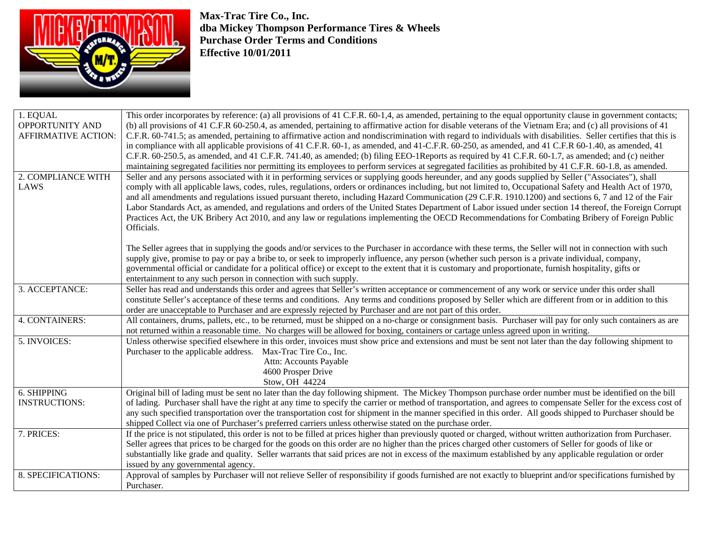

**Max-Trac Tire Co., Inc. dba Mickey Thompson Performance Tires & Wheels Purchase Order Terms and Conditions Effective 10/01/2011** 

| 1. EQUAL<br><b>OPPORTUNITY AND</b><br><b>AFFIRMATIVE ACTION:</b> | This order incorporates by reference: (a) all provisions of 41 C.F.R. 60-1,4, as amended, pertaining to the equal opportunity clause in government contacts;<br>(b) all provisions of 41 C.F.R 60-250.4, as amended, pertaining to affirmative action for disable veterans of the Vietnam Era; and (c) all provisions of 41<br>C.F.R. 60-741.5; as amended, pertaining to affirmative action and nondiscrimination with regard to individuals with disabilities. Seller certifies that this is<br>in compliance with all applicable provisions of 41 C.F.R. 60-1, as amended, and 41-C.F.R. 60-250, as amended, and 41 C.F.R 60-1.40, as amended, 41<br>C.F.R. 60-250.5, as amended, and 41 C.F.R. 741.40, as amended; (b) filing EEO-1Reports as required by 41 C.F.R. 60-1.7, as amended; and (c) neither<br>maintaining segregated facilities nor permitting its employees to perform services at segregated facilities as prohibited by 41 C.F.R. 60-1.8, as amended. |
|------------------------------------------------------------------|---------------------------------------------------------------------------------------------------------------------------------------------------------------------------------------------------------------------------------------------------------------------------------------------------------------------------------------------------------------------------------------------------------------------------------------------------------------------------------------------------------------------------------------------------------------------------------------------------------------------------------------------------------------------------------------------------------------------------------------------------------------------------------------------------------------------------------------------------------------------------------------------------------------------------------------------------------------------------|
| 2. COMPLIANCE WITH<br>LAWS                                       | Seller and any persons associated with it in performing services or supplying goods hereunder, and any goods supplied by Seller ("Associates"), shall<br>comply with all applicable laws, codes, rules, regulations, orders or ordinances including, but not limited to, Occupational Safety and Health Act of 1970,<br>and all amendments and regulations issued pursuant thereto, including Hazard Communication (29 C.F.R. 1910.1200) and sections 6, 7 and 12 of the Fair<br>Labor Standards Act, as amended, and regulations and orders of the United States Department of Labor issued under section 14 thereof, the Foreign Corrupt<br>Practices Act, the UK Bribery Act 2010, and any law or regulations implementing the OECD Recommendations for Combating Bribery of Foreign Public<br>Officials.                                                                                                                                                              |
|                                                                  | The Seller agrees that in supplying the goods and/or services to the Purchaser in accordance with these terms, the Seller will not in connection with such<br>supply give, promise to pay or pay a bribe to, or seek to improperly influence, any person (whether such person is a private individual, company,<br>governmental official or candidate for a political office) or except to the extent that it is customary and proportionate, furnish hospitality, gifts or<br>entertainment to any such person in connection with such supply.                                                                                                                                                                                                                                                                                                                                                                                                                           |
| 3. ACCEPTANCE:                                                   | Seller has read and understands this order and agrees that Seller's written acceptance or commencement of any work or service under this order shall<br>constitute Seller's acceptance of these terms and conditions. Any terms and conditions proposed by Seller which are different from or in addition to this<br>order are unacceptable to Purchaser and are expressly rejected by Purchaser and are not part of this order.                                                                                                                                                                                                                                                                                                                                                                                                                                                                                                                                          |
| 4. CONTAINERS:                                                   | All containers, drums, pallets, etc., to be returned, must be shipped on a no-charge or consignment basis. Purchaser will pay for only such containers as are<br>not returned within a reasonable time. No charges will be allowed for boxing, containers or cartage unless agreed upon in writing.                                                                                                                                                                                                                                                                                                                                                                                                                                                                                                                                                                                                                                                                       |
| 5. INVOICES:                                                     | Unless otherwise specified elsewhere in this order, invoices must show price and extensions and must be sent not later than the day following shipment to<br>Purchaser to the applicable address. Max-Trac Tire Co., Inc.<br>Attn: Accounts Payable<br>4600 Prosper Drive<br>Stow, OH 44224                                                                                                                                                                                                                                                                                                                                                                                                                                                                                                                                                                                                                                                                               |
| 6. SHIPPING<br><b>INSTRUCTIONS:</b>                              | Original bill of lading must be sent no later than the day following shipment. The Mickey Thompson purchase order number must be identified on the bill<br>of lading. Purchaser shall have the right at any time to specify the carrier or method of transportation, and agrees to compensate Seller for the excess cost of<br>any such specified transportation over the transportation cost for shipment in the manner specified in this order. All goods shipped to Purchaser should be<br>shipped Collect via one of Purchaser's preferred carriers unless otherwise stated on the purchase order.                                                                                                                                                                                                                                                                                                                                                                    |
| 7. PRICES:                                                       | If the price is not stipulated, this order is not to be filled at prices higher than previously quoted or charged, without written authorization from Purchaser.<br>Seller agrees that prices to be charged for the goods on this order are no higher than the prices charged other customers of Seller for goods of like or<br>substantially like grade and quality. Seller warrants that said prices are not in excess of the maximum established by any applicable regulation or order<br>issued by any governmental agency.                                                                                                                                                                                                                                                                                                                                                                                                                                           |
| 8. SPECIFICATIONS:                                               | Approval of samples by Purchaser will not relieve Seller of responsibility if goods furnished are not exactly to blueprint and/or specifications furnished by<br>Purchaser.                                                                                                                                                                                                                                                                                                                                                                                                                                                                                                                                                                                                                                                                                                                                                                                               |